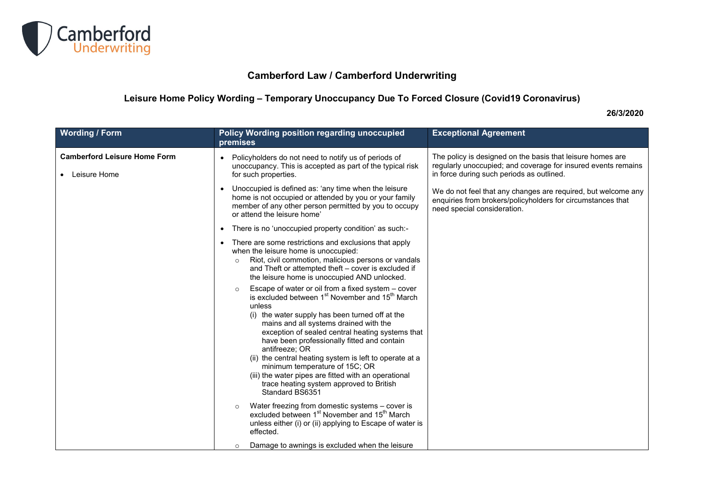

## **Camberford Law / Camberford Underwriting**

## **Leisure Home Policy Wording – Temporary Unoccupancy Due To Forced Closure (Covid19 Coronavirus)**

## **26/3/2020**

| <b>Wording / Form</b>                                 | Policy Wording position regarding unoccupied<br>premises                                                                                                                                                                                                                                                                                                                                                                                                                                                                                                                      | <b>Exceptional Agreement</b>                                                                                                                                             |
|-------------------------------------------------------|-------------------------------------------------------------------------------------------------------------------------------------------------------------------------------------------------------------------------------------------------------------------------------------------------------------------------------------------------------------------------------------------------------------------------------------------------------------------------------------------------------------------------------------------------------------------------------|--------------------------------------------------------------------------------------------------------------------------------------------------------------------------|
| <b>Camberford Leisure Home Form</b><br>• Leisure Home | Policyholders do not need to notify us of periods of<br>unoccupancy. This is accepted as part of the typical risk<br>for such properties.                                                                                                                                                                                                                                                                                                                                                                                                                                     | The policy is designed on the basis that leisure homes are<br>regularly unoccupied; and coverage for insured events remains<br>in force during such periods as outlined. |
|                                                       | Unoccupied is defined as: 'any time when the leisure<br>$\bullet$<br>home is not occupied or attended by you or your family<br>member of any other person permitted by you to occupy<br>or attend the leisure home'                                                                                                                                                                                                                                                                                                                                                           | We do not feel that any changes are required, but welcome any<br>enquiries from brokers/policyholders for circumstances that<br>need special consideration.              |
|                                                       | There is no 'unoccupied property condition' as such:-                                                                                                                                                                                                                                                                                                                                                                                                                                                                                                                         |                                                                                                                                                                          |
|                                                       | There are some restrictions and exclusions that apply<br>$\bullet$<br>when the leisure home is unoccupied:<br>Riot, civil commotion, malicious persons or vandals<br>$\circ$<br>and Theft or attempted theft - cover is excluded if<br>the leisure home is unoccupied AND unlocked.                                                                                                                                                                                                                                                                                           |                                                                                                                                                                          |
|                                                       | Escape of water or oil from a fixed system - cover<br>is excluded between 1 <sup>st</sup> November and 15 <sup>th</sup> March<br>unless<br>(i) the water supply has been turned off at the<br>mains and all systems drained with the<br>exception of sealed central heating systems that<br>have been professionally fitted and contain<br>antifreeze: OR<br>(ii) the central heating system is left to operate at a<br>minimum temperature of 15C; OR<br>(iii) the water pipes are fitted with an operational<br>trace heating system approved to British<br>Standard BS6351 |                                                                                                                                                                          |
|                                                       | Water freezing from domestic systems - cover is<br>excluded between 1 <sup>st</sup> November and 15 <sup>th</sup> March<br>unless either (i) or (ii) applying to Escape of water is<br>effected.                                                                                                                                                                                                                                                                                                                                                                              |                                                                                                                                                                          |
|                                                       | Damage to awnings is excluded when the leisure<br>$\circ$                                                                                                                                                                                                                                                                                                                                                                                                                                                                                                                     |                                                                                                                                                                          |